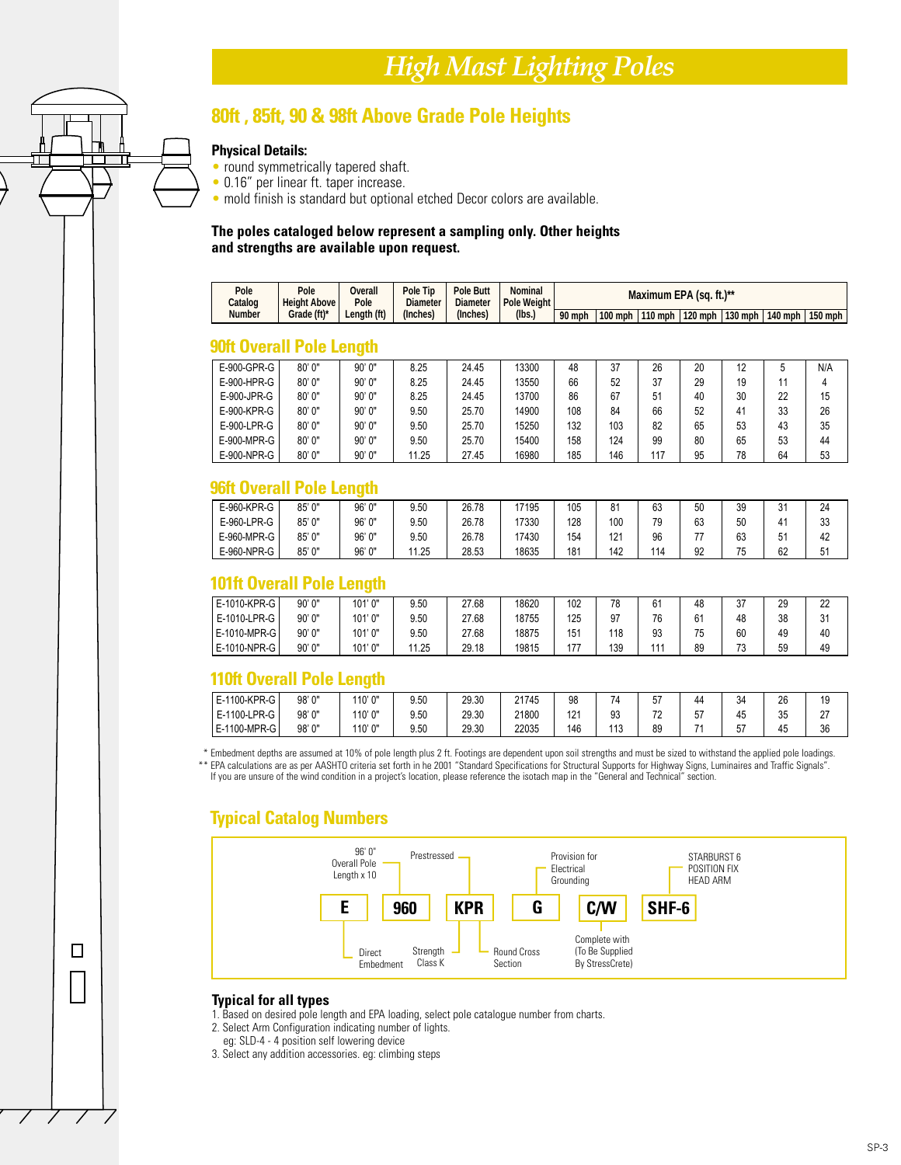# *High Mast Lighting Poles*

 $\Box$ 

### **80ft , 85ft, 90 & 98ft Above Grade Pole Heights**

#### **Physical Details:**

- round symmetrically tapered shaft.
- 0.16" per linear ft. taper increase.
- mold finish is standard but optional etched Decor colors are available.

#### **The poles cataloged below represent a sampling only. Other heights and strengths are available upon request.**

| Pole<br>Catalog | Pole<br><b>Height Above</b> | Dverall<br><sup>p</sup> ole | <b>Pole Tip</b><br><b>Diameter</b> | <b>Pole Butt</b><br><b>Diameter</b> | Nominal<br>Pole Weight |        | Maximum EPA (sq. ft.)** |           |  |  |                                       |  |
|-----------------|-----------------------------|-----------------------------|------------------------------------|-------------------------------------|------------------------|--------|-------------------------|-----------|--|--|---------------------------------------|--|
| Number          | Grade (ft)*                 | Lenath (ft)                 | (Inches)                           | (Inches)                            | (lbs.)                 | 90 mph | $100$ mph               | $110$ mph |  |  | 120 mph   130 mph   140 mph   150 mph |  |

#### **90ft Overall Pole Length**

| E-900-GPR-G   | 80'0'' | 90'0"  | 8.25  | 24.45 | 13300 | 48  | 37  | 26  | 20 | 12 |    | N/A |
|---------------|--------|--------|-------|-------|-------|-----|-----|-----|----|----|----|-----|
| E-900-HPR-G   | 80'0'' | 90'0"  | 8.25  | 24.45 | 13550 | 66  | 52  | 37  | 29 | 19 |    |     |
| E-900-JPR-G   | 80'0'' | 90'0"  | 8.25  | 24.45 | 13700 | 86  | 67  | 51  | 40 | 30 | 22 | 15  |
| E-900-KPR-G   | 80'0'' | 90'0'' | 9.50  | 25.70 | 14900 | 108 | 84  | 66  | 52 | 41 | 33 | 26  |
| $E-900-LPR-G$ | 80' 0" | 90'0"  | 9.50  | 25.70 | 15250 | 132 | 103 | 82  | 65 | 53 | 43 | 35  |
| E-900-MPR-G   | 80'0'' | 90'0'' | 9.50  | 25.70 | 15400 | 158 | 124 | 99  | 80 | 65 | 53 | 44  |
| E-900-NPR-G   | 80'0'' | 90'0"  | 11.25 | 27.45 | 16980 | 185 | 146 | 117 | 95 | 78 | 64 | 53  |

#### **96ft Overall Pole Length**

| E-960-KPR-G | 85' 0" | 96' 0" | 9.50 | 26.78 | 17195 | 105 | 81  | 63  | 50 | 39             | $\sim$<br>ا ب | 24 |
|-------------|--------|--------|------|-------|-------|-----|-----|-----|----|----------------|---------------|----|
| E-960-LPR-G | 85' 0" | 96' 0" | 9.50 | 26.78 | 17330 | 128 | 100 | 79  | 63 | 50             |               | 33 |
| E-960-MPR-G | 85' 0" | 96' 0" | 9.50 | 26.78 | 17430 | 154 | 121 | 96  | -- | 63             | ו־כ           | 42 |
| E-960-NPR-G | 85'0'' | 96' 0" | 1.25 | 28.53 | 18635 | 181 | 142 | 114 | 92 | 75<br><b>J</b> | 62            | 51 |

#### **101ft Overall Pole Length**

| E-1010-KPR-G | 90'0" | 101'0" | 9.50 | 27.68 | 18620 | 102 | 78  | $\sim$<br>o. | 48 | 27<br>ບ≀  | 29 | 22 |
|--------------|-------|--------|------|-------|-------|-----|-----|--------------|----|-----------|----|----|
| E-1010-LPR-G | 90'0" | 101'0" | 9.50 | 27.68 | 18755 | 125 | 97  | 76           | 61 | 48        | 38 | 31 |
| E-1010-MPR-G | 90'0" | 101'0" | 9.50 | 27.68 | 18875 | 151 | 118 | 93           | 75 | 60        | 49 | 40 |
| E-1010-NPR-G | 90'0" | 101'0" | 1.25 | 29.18 | 19815 | 177 | 139 | 44.          | 89 | 70<br>ں ، | 59 | 49 |

#### **110ft Overall Pole Length**

| -1100-KPR-G<br>ᄗ          | 98'0" | 10'0"  | 9.50 | 29.30 | 21745 | 98         | $\overline{\phantom{a}}$ | $-1$<br>b, | 44  | 34                             | 26 | 19                      |
|---------------------------|-------|--------|------|-------|-------|------------|--------------------------|------------|-----|--------------------------------|----|-------------------------|
| LPR-G<br>ำ1100-∟<br>E-1   | 98'0" | 10'0'' | 9.50 | 29.30 | 21800 | 101<br>ے ا | ۵R<br>◡◡                 | 70<br>. .  | 57  | $\overline{\phantom{0}}$<br>45 | 35 | $\sim$<br>$\mathcal{L}$ |
| 0-MPR-G<br>$-1100$<br>E-1 | 98'0" | 10'0'' | 9.50 | 29.30 | 22035 | 146        | $\overline{110}$<br>11 ا | 89         | - 4 | 57<br>νı                       | 45 | 36                      |

\* Embedment depths are assumed at 10% of pole length plus 2 ft. Footings are dependent upon soil strengths and must be sized to withstand the applied pole loadings. \*\* EPA calculations are as per AASHTO criteria set forth in he 2001 "Standard Specifications for Structural Supports for Highway Signs, Luminaires and Traffic Signals". If you are unsure of the wind condition in a project's location, please reference the isotach map in the "General and Technical" section.

### **Typical Catalog Numbers**



#### **Typical for all types**

1. Based on desired pole length and EPA loading, select pole catalogue number from charts.

- 2. Select Arm Configuration indicating number of lights.
- eg: SLD-4 4 position self lowering device
- 3. Select any addition accessories. eg: climbing steps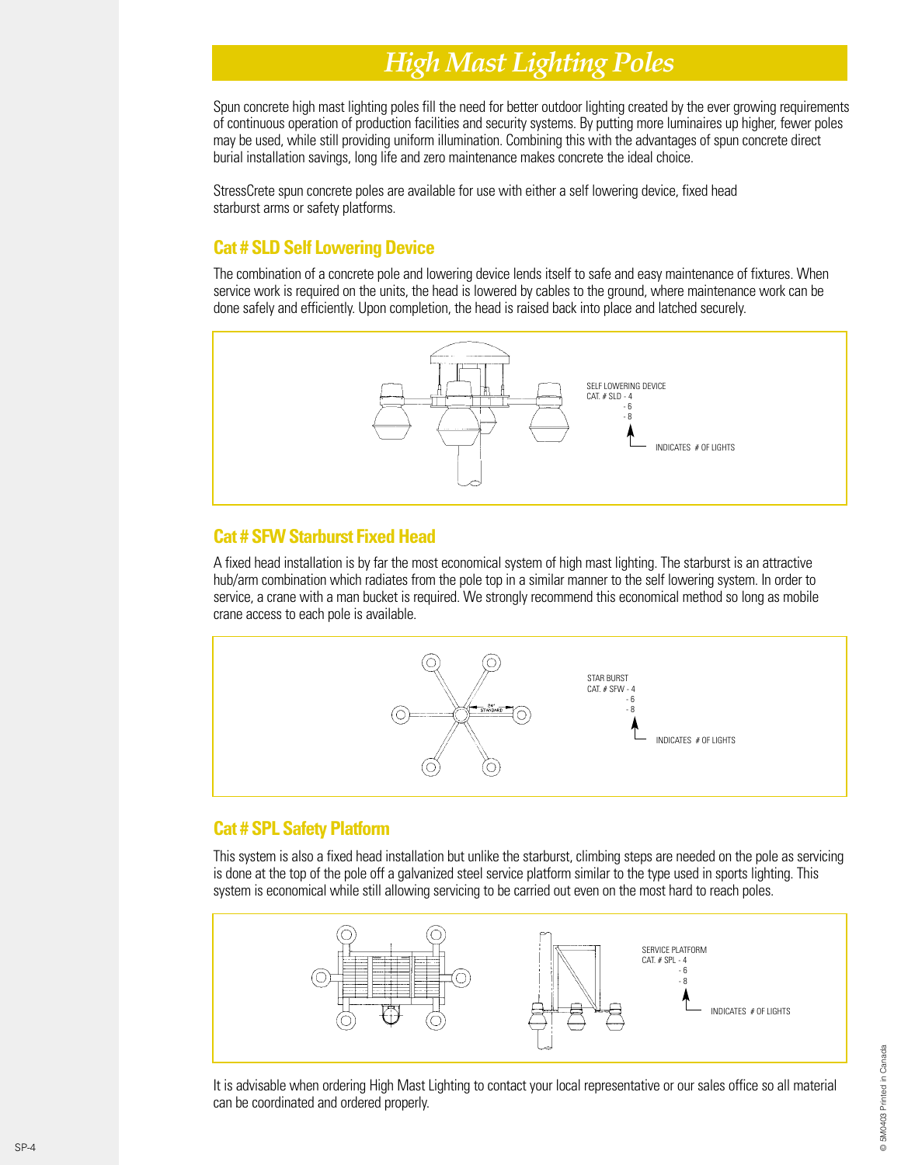# *High Mast Lighting Poles*

Spun concrete high mast lighting poles fill the need for better outdoor lighting created by the ever growing requirements of continuous operation of production facilities and security systems. By putting more luminaires up higher, fewer poles may be used, while still providing uniform illumination. Combining this with the advantages of spun concrete direct burial installation savings, long life and zero maintenance makes concrete the ideal choice.

StressCrete spun concrete poles are available for use with either a self lowering device, fixed head starburst arms or safety platforms.

### **Cat # SLD Self Lowering Device**

The combination of a concrete pole and lowering device lends itself to safe and easy maintenance of fixtures. When service work is required on the units, the head is lowered by cables to the ground, where maintenance work can be done safely and efficiently. Upon completion, the head is raised back into place and latched securely.



### **Cat # SFW Starburst Fixed Head**

A fixed head installation is by far the most economical system of high mast lighting. The starburst is an attractive hub/arm combination which radiates from the pole top in a similar manner to the self lowering system. In order to service, a crane with a man bucket is required. We strongly recommend this economical method so long as mobile crane access to each pole is available.



### **Cat # SPL Safety Platform**

This system is also a fixed head installation but unlike the starburst, climbing steps are needed on the pole as servicing is done at the top of the pole off a galvanized steel service platform similar to the type used in sports lighting. This system is economical while still allowing servicing to be carried out even on the most hard to reach poles.



It is advisable when ordering High Mast Lighting to contact your local representative or our sales office so all material can be coordinated and ordered properly.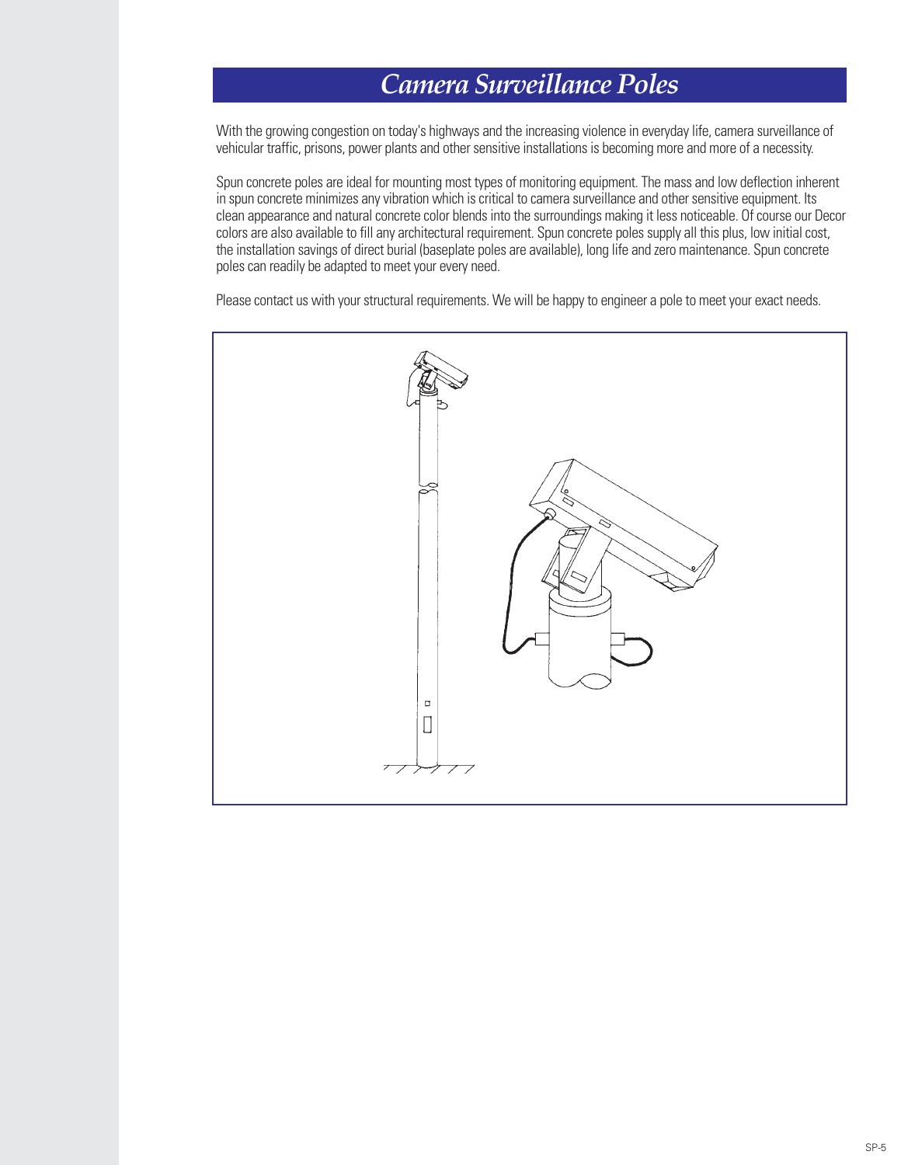# *Camera Surveillance Poles*

With the growing congestion on today's highways and the increasing violence in everyday life, camera surveillance of vehicular traffic, prisons, power plants and other sensitive installations is becoming more and more of a necessity.

Spun concrete poles are ideal for mounting most types of monitoring equipment. The mass and low deflection inherent in spun concrete minimizes any vibration which is critical to camera surveillance and other sensitive equipment. Its clean appearance and natural concrete color blends into the surroundings making it less noticeable. Of course our Decor colors are also available to fill any architectural requirement. Spun concrete poles supply all this plus, low initial cost, the installation savings of direct burial (baseplate poles are available), long life and zero maintenance. Spun concrete poles can readily be adapted to meet your every need.

Please contact us with your structural requirements. We will be happy to engineer a pole to meet your exact needs.

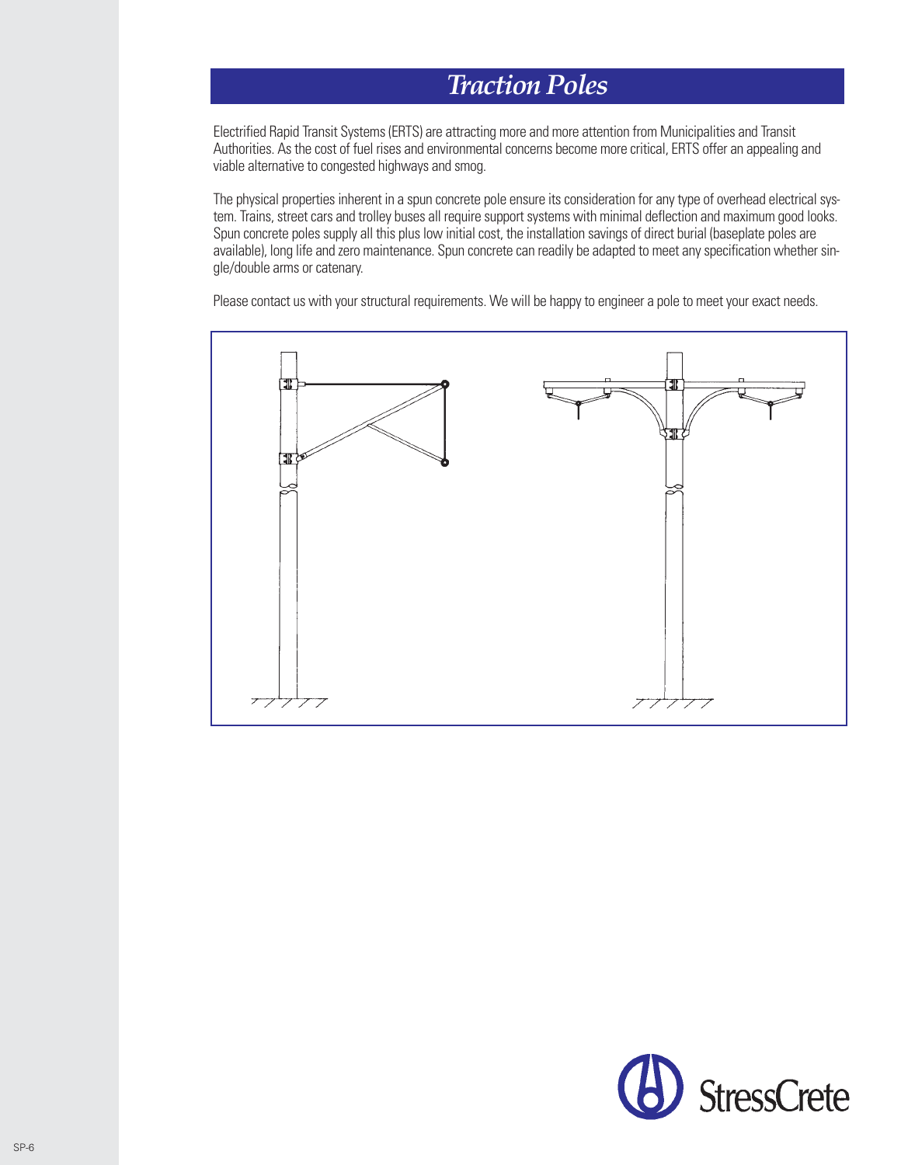### *Traction Poles*

Electrified Rapid Transit Systems (ERTS) are attracting more and more attention from Municipalities and Transit Authorities. As the cost of fuel rises and environmental concerns become more critical, ERTS offer an appealing and viable alternative to congested highways and smog.

The physical properties inherent in a spun concrete pole ensure its consideration for any type of overhead electrical system. Trains, street cars and trolley buses all require support systems with minimal deflection and maximum good looks. Spun concrete poles supply all this plus low initial cost, the installation savings of direct burial (baseplate poles are available), long life and zero maintenance. Spun concrete can readily be adapted to meet any specification whether single/double arms or catenary.

Please contact us with your structural requirements. We will be happy to engineer a pole to meet your exact needs.



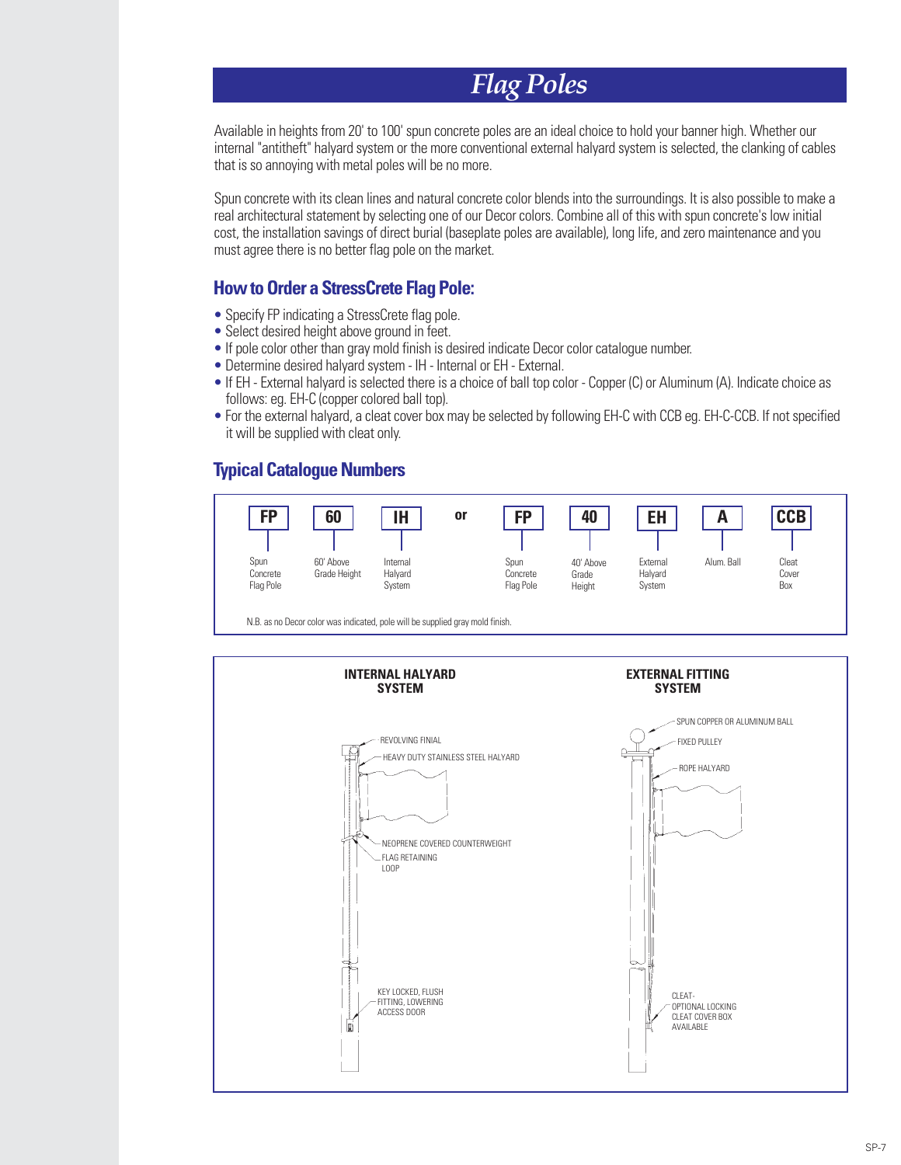# *Flag Poles*

Available in heights from 20' to 100' spun concrete poles are an ideal choice to hold your banner high. Whether our internal "antitheft" halyard system or the more conventional external halyard system is selected, the clanking of cables that is so annoying with metal poles will be no more.

Spun concrete with its clean lines and natural concrete color blends into the surroundings. It is also possible to make a real architectural statement by selecting one of our Decor colors. Combine all of this with spun concrete's low initial cost, the installation savings of direct burial (baseplate poles are available), long life, and zero maintenance and you must agree there is no better flag pole on the market.

#### **How to Order a StressCrete Flag Pole:**

- Specify FP indicating a StressCrete flag pole.
- Select desired height above ground in feet.
- If pole color other than gray mold finish is desired indicate Decor color catalogue number.
- Determine desired halyard system IH Internal or EH External.
- If EH External halyard is selected there is a choice of ball top color Copper (C) or Aluminum (A). Indicate choice as follows: eg. EH-C (copper colored ball top).
- For the external halyard, a cleat cover box may be selected by following EH-C with CCB eg. EH-C-CCB. If not specified it will be supplied with cleat only.

### **Typical Catalogue Numbers**



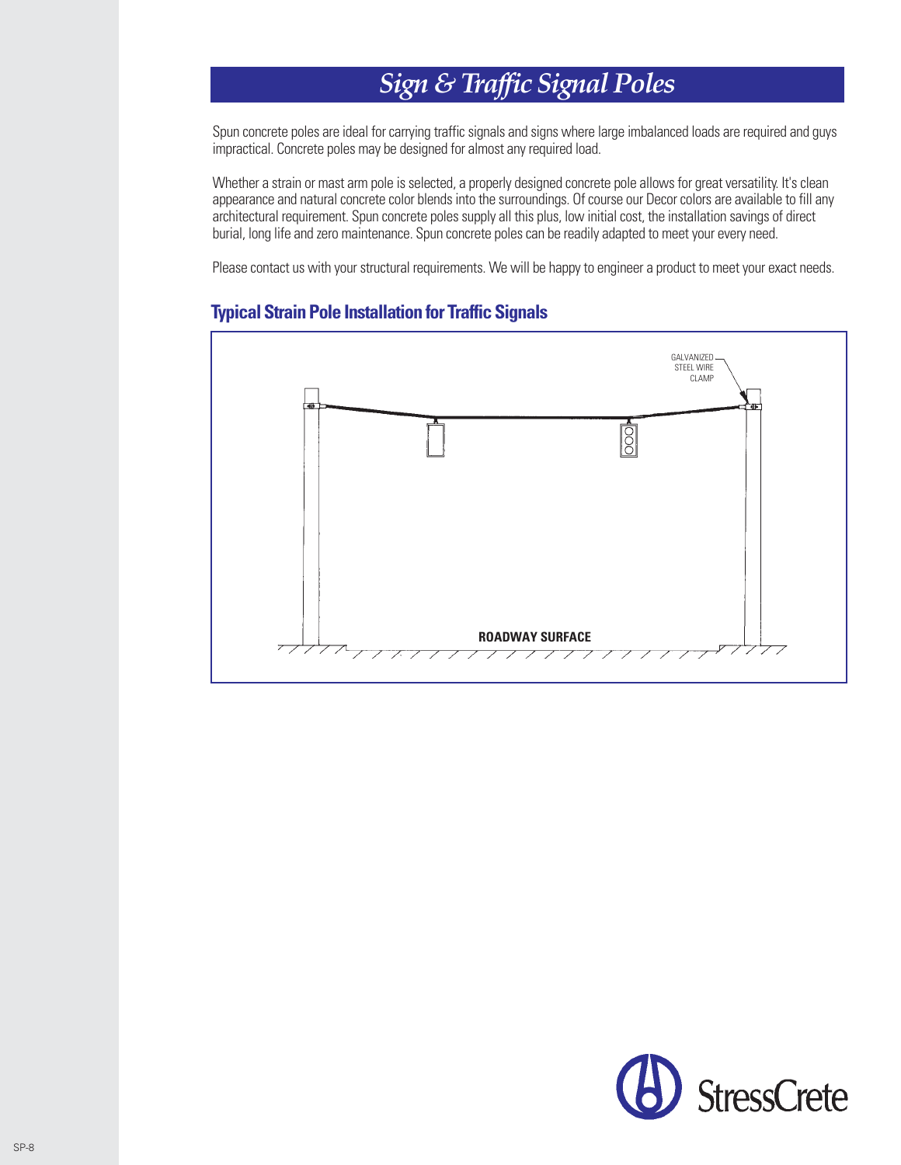# *Sign & Traffic Signal Poles*

Spun concrete poles are ideal for carrying traffic signals and signs where large imbalanced loads are required and guys impractical. Concrete poles may be designed for almost any required load.

Whether a strain or mast arm pole is selected, a properly designed concrete pole allows for great versatility. It's clean appearance and natural concrete color blends into the surroundings. Of course our Decor colors are available to fill any architectural requirement. Spun concrete poles supply all this plus, low initial cost, the installation savings of direct burial, long life and zero maintenance. Spun concrete poles can be readily adapted to meet your every need.

Please contact us with your structural requirements. We will be happy to engineer a product to meet your exact needs.



#### **Typical Strain Pole Installation for Traffic Signals**